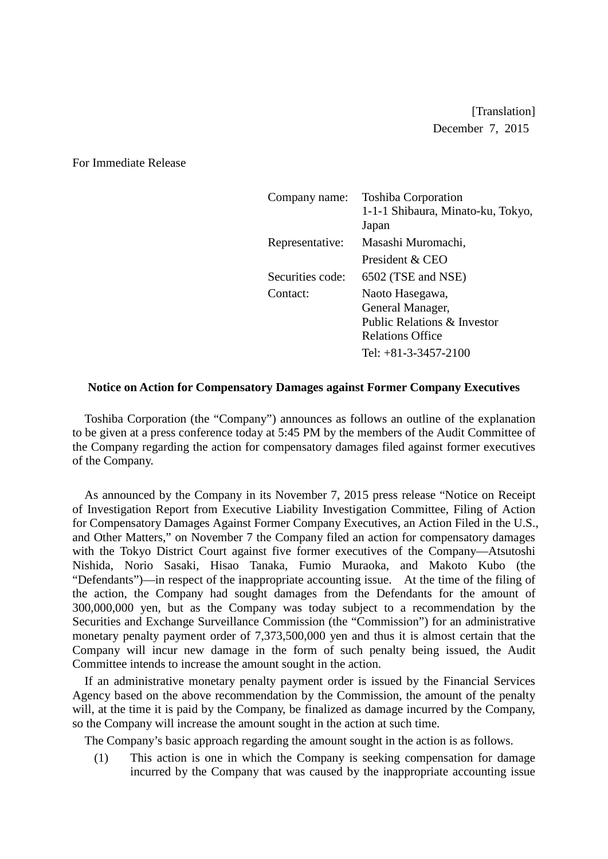[Translation] December 7, 2015

For Immediate Release

| Company name:    | <b>Toshiba Corporation</b><br>1-1-1 Shibaura, Minato-ku, Tokyo,<br>Japan                                                |
|------------------|-------------------------------------------------------------------------------------------------------------------------|
| Representative:  | Masashi Muromachi,                                                                                                      |
|                  | President & CEO                                                                                                         |
| Securities code: | 6502 (TSE and NSE)                                                                                                      |
| Contact:         | Naoto Hasegawa,<br>General Manager,<br>Public Relations & Investor<br><b>Relations Office</b><br>Tel: $+81-3-3457-2100$ |

## **Notice on Action for Compensatory Damages against Former Company Executives**

Toshiba Corporation (the "Company") announces as follows an outline of the explanation to be given at a press conference today at 5:45 PM by the members of the Audit Committee of the Company regarding the action for compensatory damages filed against former executives of the Company.

As announced by the Company in its November 7, 2015 press release "Notice on Receipt of Investigation Report from Executive Liability Investigation Committee, Filing of Action for Compensatory Damages Against Former Company Executives, an Action Filed in the U.S., and Other Matters," on November 7 the Company filed an action for compensatory damages with the Tokyo District Court against five former executives of the Company—Atsutoshi Nishida, Norio Sasaki, Hisao Tanaka, Fumio Muraoka, and Makoto Kubo (the "Defendants")—in respect of the inappropriate accounting issue. At the time of the filing of the action, the Company had sought damages from the Defendants for the amount of 300,000,000 yen, but as the Company was today subject to a recommendation by the Securities and Exchange Surveillance Commission (the "Commission") for an administrative monetary penalty payment order of 7,373,500,000 yen and thus it is almost certain that the Company will incur new damage in the form of such penalty being issued, the Audit Committee intends to increase the amount sought in the action.

If an administrative monetary penalty payment order is issued by the Financial Services Agency based on the above recommendation by the Commission, the amount of the penalty will, at the time it is paid by the Company, be finalized as damage incurred by the Company. so the Company will increase the amount sought in the action at such time.

The Company's basic approach regarding the amount sought in the action is as follows.

(1) This action is one in which the Company is seeking compensation for damage incurred by the Company that was caused by the inappropriate accounting issue